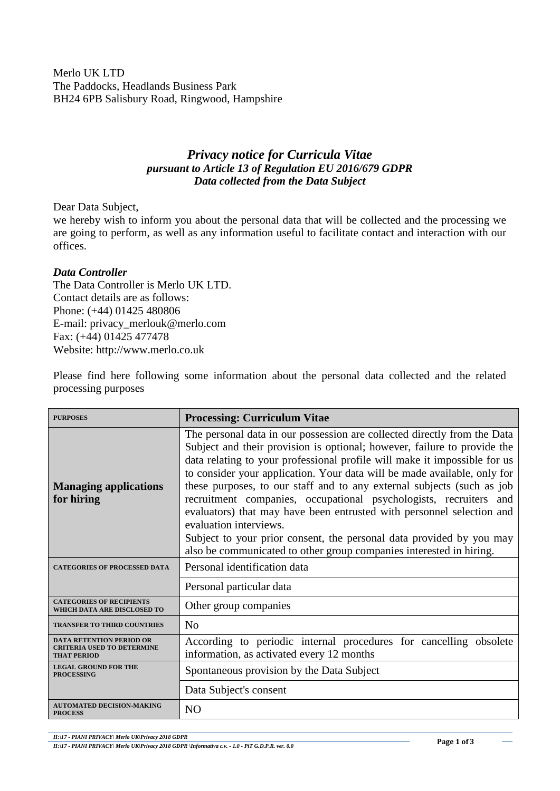Merlo UK LTD The Paddocks, Headlands Business Park BH24 6PB Salisbury Road, Ringwood, Hampshire

## *Privacy notice for Curricula Vitae pursuant to Article 13 of Regulation EU 2016/679 GDPR Data collected from the Data Subject*

Dear Data Subject,

we hereby wish to inform you about the personal data that will be collected and the processing we are going to perform, as well as any information useful to facilitate contact and interaction with our offices.

## *Data Controller*

The Data Controller is Merlo UK LTD. Contact details are as follows: Phone: (+44) 01425 480806 E-mail: privacy\_merlouk@merlo.com Fax: (+44) 01425 477478 Website: http://www.merlo.co.uk

Please find here following some information about the personal data collected and the related processing purposes

| <b>PURPOSES</b>                                                                            | <b>Processing: Curriculum Vitae</b>                                                                                                                                                                                                                                                                                                                                                                                                                                                                                                                                                                                                                                                                            |
|--------------------------------------------------------------------------------------------|----------------------------------------------------------------------------------------------------------------------------------------------------------------------------------------------------------------------------------------------------------------------------------------------------------------------------------------------------------------------------------------------------------------------------------------------------------------------------------------------------------------------------------------------------------------------------------------------------------------------------------------------------------------------------------------------------------------|
| <b>Managing applications</b><br>for hiring                                                 | The personal data in our possession are collected directly from the Data<br>Subject and their provision is optional; however, failure to provide the<br>data relating to your professional profile will make it impossible for us<br>to consider your application. Your data will be made available, only for<br>these purposes, to our staff and to any external subjects (such as job<br>recruitment companies, occupational psychologists, recruiters and<br>evaluators) that may have been entrusted with personnel selection and<br>evaluation interviews.<br>Subject to your prior consent, the personal data provided by you may<br>also be communicated to other group companies interested in hiring. |
| <b>CATEGORIES OF PROCESSED DATA</b>                                                        | Personal identification data                                                                                                                                                                                                                                                                                                                                                                                                                                                                                                                                                                                                                                                                                   |
|                                                                                            | Personal particular data                                                                                                                                                                                                                                                                                                                                                                                                                                                                                                                                                                                                                                                                                       |
| <b>CATEGORIES OF RECIPIENTS</b><br>WHICH DATA ARE DISCLOSED TO                             | Other group companies                                                                                                                                                                                                                                                                                                                                                                                                                                                                                                                                                                                                                                                                                          |
| <b>TRANSFER TO THIRD COUNTRIES</b>                                                         | No                                                                                                                                                                                                                                                                                                                                                                                                                                                                                                                                                                                                                                                                                                             |
| <b>DATA RETENTION PERIOD OR</b><br><b>CRITERIA USED TO DETERMINE</b><br><b>THAT PERIOD</b> | According to periodic internal procedures for cancelling obsolete<br>information, as activated every 12 months                                                                                                                                                                                                                                                                                                                                                                                                                                                                                                                                                                                                 |
| <b>LEGAL GROUND FOR THE</b><br><b>PROCESSING</b>                                           | Spontaneous provision by the Data Subject                                                                                                                                                                                                                                                                                                                                                                                                                                                                                                                                                                                                                                                                      |
|                                                                                            | Data Subject's consent                                                                                                                                                                                                                                                                                                                                                                                                                                                                                                                                                                                                                                                                                         |
| <b>AUTOMATED DECISION-MAKING</b><br><b>PROCESS</b>                                         | N <sub>O</sub>                                                                                                                                                                                                                                                                                                                                                                                                                                                                                                                                                                                                                                                                                                 |

*H:\17 - PIANI PRIVACY\ Merlo UK\Privacy 2018 GDPR*

*H:\17 - PIANI PRIVACY\ Merlo UK\Privacy 2018 GDPR \Informativa c.v. - 1.0 - PiT G.D.P.R. ver. 0.0*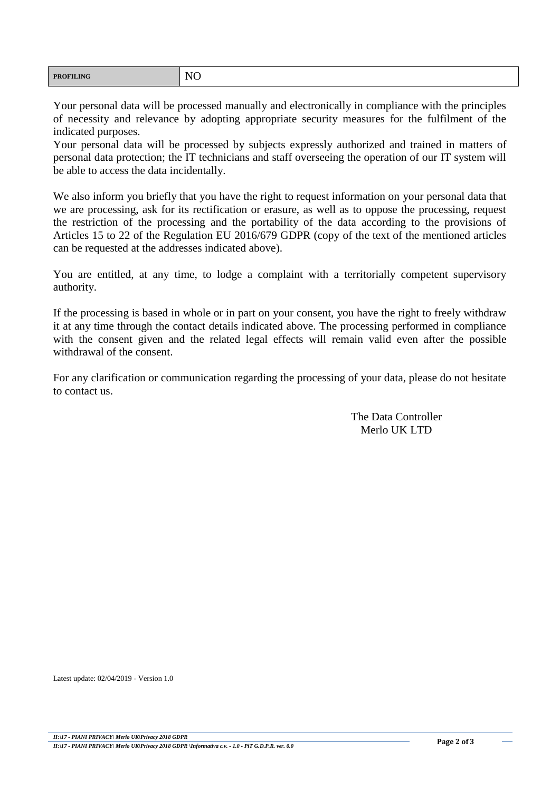| N <sub>O</sub><br><b>PROFILING</b><br>$\overline{\phantom{0}}$ |  |
|----------------------------------------------------------------|--|
|----------------------------------------------------------------|--|

Your personal data will be processed manually and electronically in compliance with the principles of necessity and relevance by adopting appropriate security measures for the fulfilment of the indicated purposes.

Your personal data will be processed by subjects expressly authorized and trained in matters of personal data protection; the IT technicians and staff overseeing the operation of our IT system will be able to access the data incidentally.

We also inform you briefly that you have the right to request information on your personal data that we are processing, ask for its rectification or erasure, as well as to oppose the processing, request the restriction of the processing and the portability of the data according to the provisions of Articles 15 to 22 of the Regulation EU 2016/679 GDPR (copy of the text of the mentioned articles can be requested at the addresses indicated above).

You are entitled, at any time, to lodge a complaint with a territorially competent supervisory authority.

If the processing is based in whole or in part on your consent, you have the right to freely withdraw it at any time through the contact details indicated above. The processing performed in compliance with the consent given and the related legal effects will remain valid even after the possible withdrawal of the consent.

For any clarification or communication regarding the processing of your data, please do not hesitate to contact us.

> The Data Controller Merlo UK LTD

Latest update: 02/04/2019 - Version 1.0